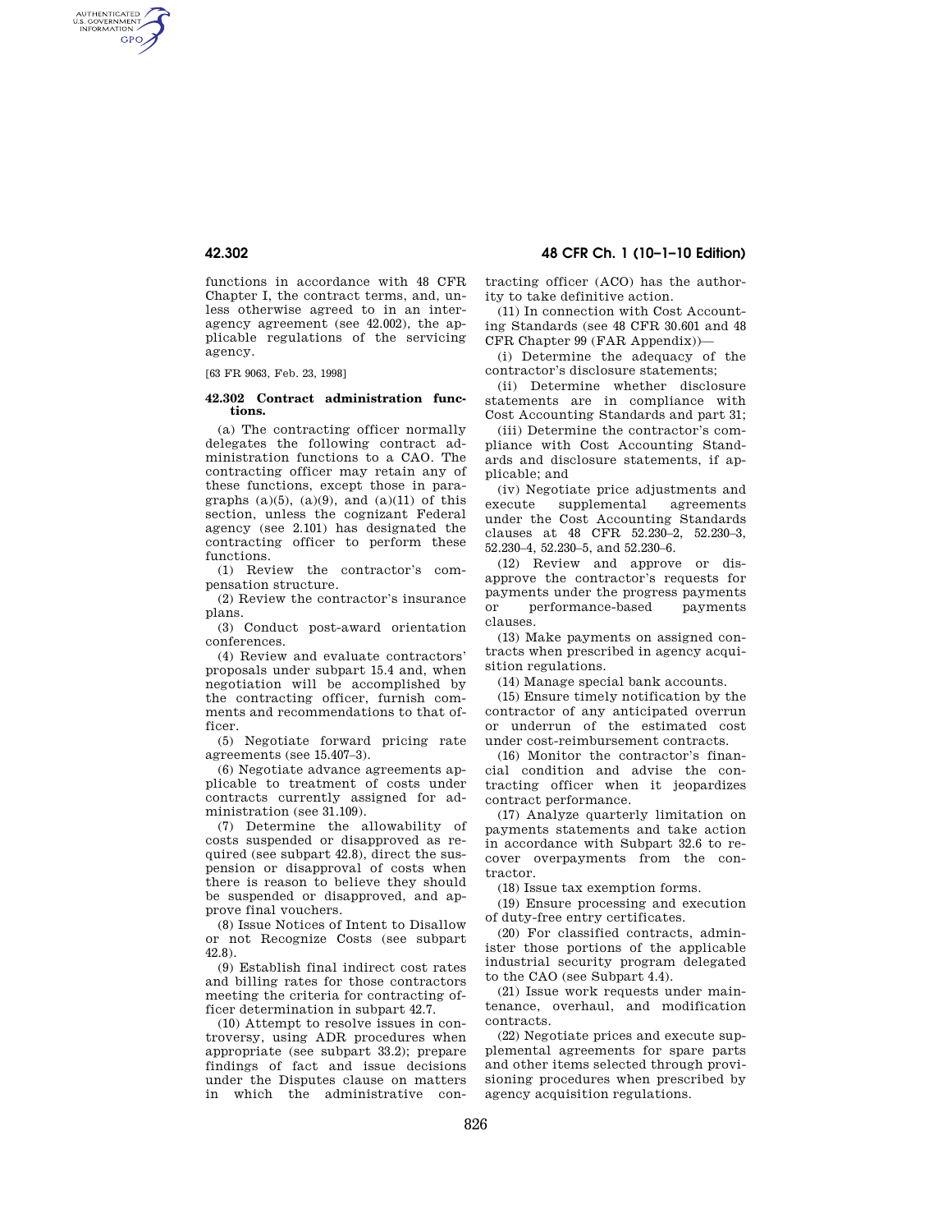AUTHENTICATED<br>U.S. GOVERNMENT<br>INFORMATION **GPO** 

> functions in accordance with 48 CFR Chapter I, the contract terms, and, unless otherwise agreed to in an interagency agreement (see 42.002), the applicable regulations of the servicing agency.

[63 FR 9063, Feb. 23, 1998]

### **42.302 Contract administration functions.**

(a) The contracting officer normally delegates the following contract administration functions to a CAO. The contracting officer may retain any of these functions, except those in paragraphs  $(a)(5)$ ,  $(a)(9)$ , and  $(a)(11)$  of this section, unless the cognizant Federal agency (see 2.101) has designated the contracting officer to perform these functions.

(1) Review the contractor's compensation structure.

(2) Review the contractor's insurance plans.

(3) Conduct post-award orientation conferences.

(4) Review and evaluate contractors' proposals under subpart 15.4 and, when negotiation will be accomplished by the contracting officer, furnish comments and recommendations to that officer.

(5) Negotiate forward pricing rate agreements (see 15.407–3).

(6) Negotiate advance agreements applicable to treatment of costs under contracts currently assigned for administration (see 31.109).

(7) Determine the allowability of costs suspended or disapproved as required (see subpart 42.8), direct the suspension or disapproval of costs when there is reason to believe they should be suspended or disapproved, and approve final vouchers.

(8) Issue Notices of Intent to Disallow or not Recognize Costs (see subpart 42.8).

(9) Establish final indirect cost rates and billing rates for those contractors meeting the criteria for contracting officer determination in subpart 42.7.

(10) Attempt to resolve issues in controversy, using ADR procedures when appropriate (see subpart 33.2); prepare findings of fact and issue decisions under the Disputes clause on matters in which the administrative con-

**42.302 48 CFR Ch. 1 (10–1–10 Edition)** 

tracting officer (ACO) has the authority to take definitive action.

(11) In connection with Cost Accounting Standards (see 48 CFR 30.601 and 48 CFR Chapter 99 (FAR Appendix))—

(i) Determine the adequacy of the contractor's disclosure statements;

(ii) Determine whether disclosure statements are in compliance with Cost Accounting Standards and part 31;

(iii) Determine the contractor's compliance with Cost Accounting Standards and disclosure statements, if applicable; and

(iv) Negotiate price adjustments and execute supplemental agreements under the Cost Accounting Standards clauses at 48 CFR 52.230–2, 52.230–3, 52.230–4, 52.230–5, and 52.230–6.

(12) Review and approve or disapprove the contractor's requests for payments under the progress payments or performance-based payments clauses.

(13) Make payments on assigned contracts when prescribed in agency acquisition regulations.

(14) Manage special bank accounts.

(15) Ensure timely notification by the contractor of any anticipated overrun or underrun of the estimated cost under cost-reimbursement contracts.

(16) Monitor the contractor's financial condition and advise the contracting officer when it jeopardizes contract performance.

(17) Analyze quarterly limitation on payments statements and take action in accordance with Subpart 32.6 to recover overpayments from the contractor.

(18) Issue tax exemption forms.

(19) Ensure processing and execution of duty-free entry certificates.

(20) For classified contracts, administer those portions of the applicable industrial security program delegated to the CAO (see Subpart 4.4).

(21) Issue work requests under maintenance, overhaul, and modification contracts.

(22) Negotiate prices and execute supplemental agreements for spare parts and other items selected through provisioning procedures when prescribed by agency acquisition regulations.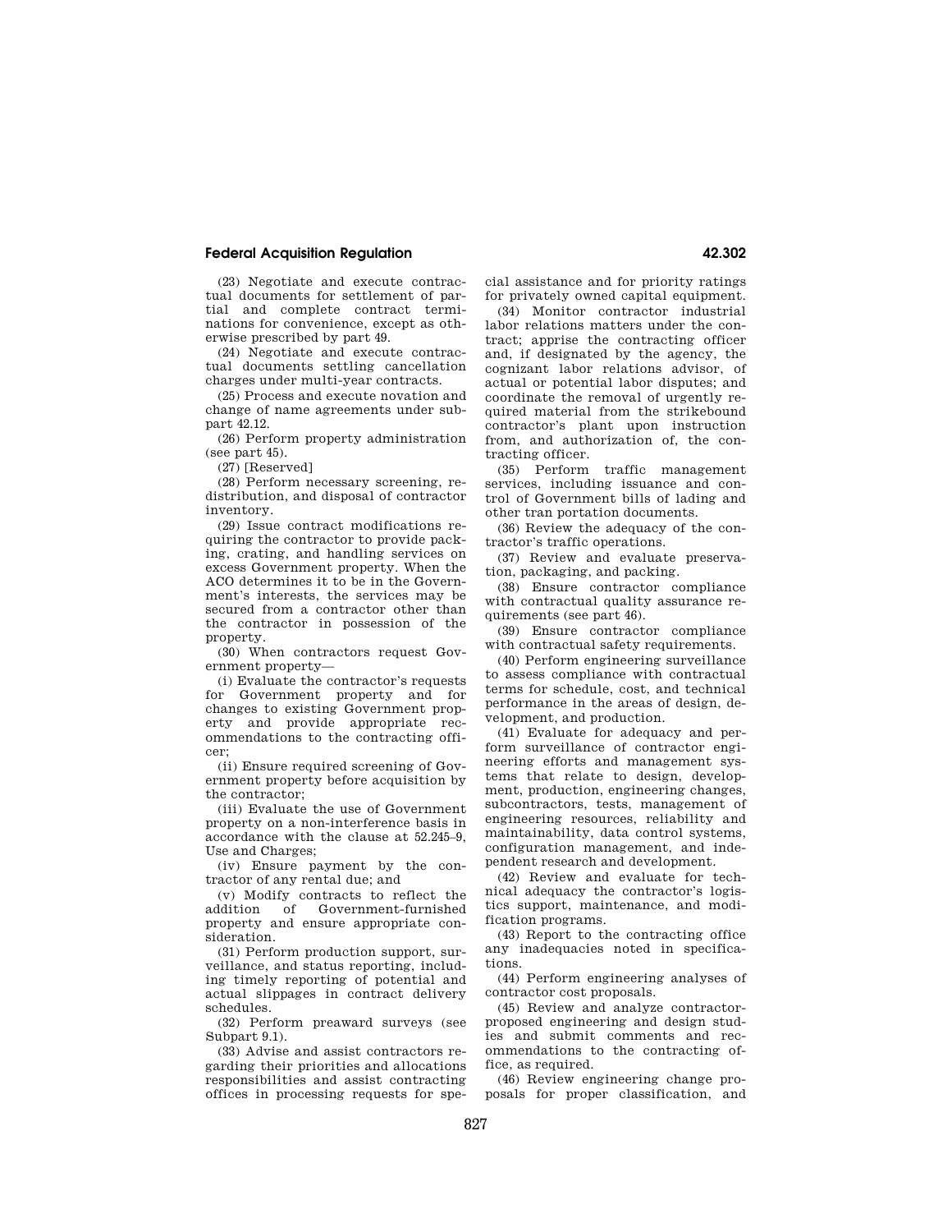# **Federal Acquisition Regulation 42.302**

(23) Negotiate and execute contractual documents for settlement of partial and complete contract terminations for convenience, except as otherwise prescribed by part 49.

(24) Negotiate and execute contractual documents settling cancellation charges under multi-year contracts.

(25) Process and execute novation and change of name agreements under subpart 42.12.

(26) Perform property administration (see part 45).

(27) [Reserved]

(28) Perform necessary screening, redistribution, and disposal of contractor inventory.

(29) Issue contract modifications requiring the contractor to provide packing, crating, and handling services on excess Government property. When the ACO determines it to be in the Government's interests, the services may be secured from a contractor other than the contractor in possession of the property.

(30) When contractors request Government property—

(i) Evaluate the contractor's requests for Government property and for changes to existing Government property and provide appropriate recommendations to the contracting officer;

(ii) Ensure required screening of Government property before acquisition by the contractor;

(iii) Evaluate the use of Government property on a non-interference basis in accordance with the clause at 52.245–9, Use and Charges;

(iv) Ensure payment by the contractor of any rental due; and

(v) Modify contracts to reflect the addition of Government-furnished property and ensure appropriate consideration.

(31) Perform production support, surveillance, and status reporting, including timely reporting of potential and actual slippages in contract delivery schedules.

(32) Perform preaward surveys (see Subpart 9.1).

(33) Advise and assist contractors regarding their priorities and allocations responsibilities and assist contracting offices in processing requests for special assistance and for priority ratings for privately owned capital equipment.

(34) Monitor contractor industrial labor relations matters under the contract; apprise the contracting officer and, if designated by the agency, the cognizant labor relations advisor, of actual or potential labor disputes; and coordinate the removal of urgently required material from the strikebound contractor's plant upon instruction from, and authorization of, the contracting officer.

(35) Perform traffic management services, including issuance and control of Government bills of lading and other tran portation documents.

(36) Review the adequacy of the contractor's traffic operations.

(37) Review and evaluate preservation, packaging, and packing.

(38) Ensure contractor compliance with contractual quality assurance requirements (see part 46).

(39) Ensure contractor compliance with contractual safety requirements.

(40) Perform engineering surveillance to assess compliance with contractual terms for schedule, cost, and technical performance in the areas of design, development, and production.

(41) Evaluate for adequacy and perform surveillance of contractor engineering efforts and management systems that relate to design, development, production, engineering changes, subcontractors, tests, management of engineering resources, reliability and maintainability, data control systems, configuration management, and independent research and development.

(42) Review and evaluate for technical adequacy the contractor's logistics support, maintenance, and modification programs.

(43) Report to the contracting office any inadequacies noted in specifications.

(44) Perform engineering analyses of contractor cost proposals.

(45) Review and analyze contractorproposed engineering and design studies and submit comments and recommendations to the contracting office, as required.

(46) Review engineering change proposals for proper classification, and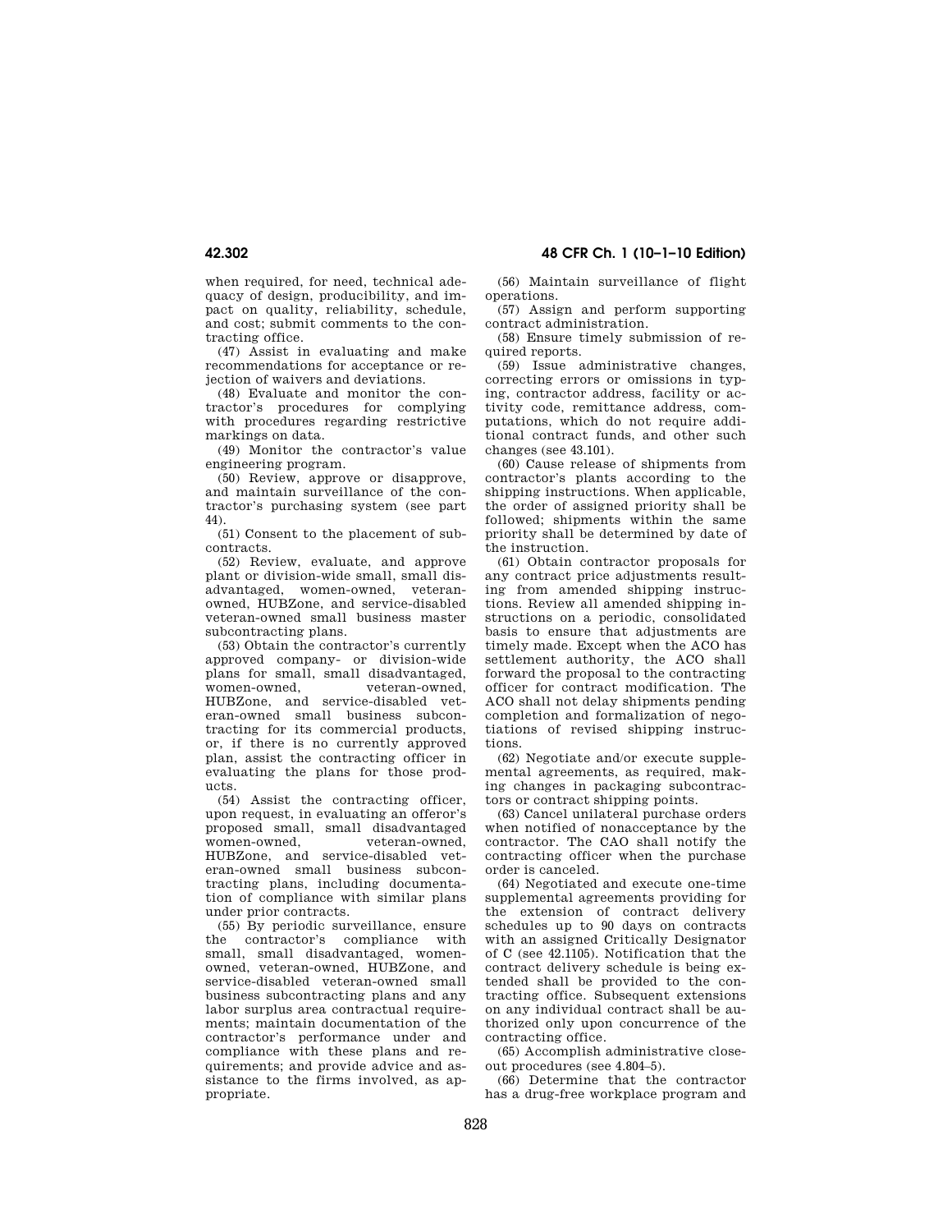when required, for need, technical adequacy of design, producibility, and impact on quality, reliability, schedule, and cost; submit comments to the contracting office.

(47) Assist in evaluating and make recommendations for acceptance or rejection of waivers and deviations.

(48) Evaluate and monitor the contractor's procedures for complying with procedures regarding restrictive markings on data.

(49) Monitor the contractor's value engineering program.

(50) Review, approve or disapprove, and maintain surveillance of the contractor's purchasing system (see part 44).

(51) Consent to the placement of subcontracts.

(52) Review, evaluate, and approve plant or division-wide small, small disadvantaged, women-owned, veteranowned, HUBZone, and service-disabled veteran-owned small business master subcontracting plans.

(53) Obtain the contractor's currently approved company- or division-wide plans for small, small disadvantaged, women-owned veteran-owned HUBZone, and service-disabled veteran-owned small business subcontracting for its commercial products, or, if there is no currently approved plan, assist the contracting officer in evaluating the plans for those products.

(54) Assist the contracting officer, upon request, in evaluating an offeror's proposed small, small disadvantaged women-owned, veteran-owned, HUBZone, and service-disabled veteran-owned small business subcontracting plans, including documentation of compliance with similar plans under prior contracts.

(55) By periodic surveillance, ensure<br>the contractor's compliance with contractor's compliance with small, small disadvantaged, womenowned, veteran-owned, HUBZone, and service-disabled veteran-owned small business subcontracting plans and any labor surplus area contractual requirements; maintain documentation of the contractor's performance under and compliance with these plans and requirements; and provide advice and assistance to the firms involved, as appropriate.

(56) Maintain surveillance of flight operations.

(57) Assign and perform supporting contract administration.

(58) Ensure timely submission of required reports.

(59) Issue administrative changes, correcting errors or omissions in typing, contractor address, facility or activity code, remittance address, computations, which do not require additional contract funds, and other such changes (see 43.101).

(60) Cause release of shipments from contractor's plants according to the shipping instructions. When applicable, the order of assigned priority shall be followed; shipments within the same priority shall be determined by date of the instruction.

(61) Obtain contractor proposals for any contract price adjustments resulting from amended shipping instructions. Review all amended shipping instructions on a periodic, consolidated basis to ensure that adjustments are timely made. Except when the ACO has settlement authority, the ACO shall forward the proposal to the contracting officer for contract modification. The ACO shall not delay shipments pending completion and formalization of negotiations of revised shipping instructions.

(62) Negotiate and/or execute supplemental agreements, as required, making changes in packaging subcontractors or contract shipping points.

(63) Cancel unilateral purchase orders when notified of nonacceptance by the contractor. The CAO shall notify the contracting officer when the purchase order is canceled.

(64) Negotiated and execute one-time supplemental agreements providing for the extension of contract delivery schedules up to 90 days on contracts with an assigned Critically Designator of C (see 42.1105). Notification that the contract delivery schedule is being extended shall be provided to the contracting office. Subsequent extensions on any individual contract shall be authorized only upon concurrence of the contracting office.

(65) Accomplish administrative closeout procedures (see 4.804–5).

(66) Determine that the contractor has a drug-free workplace program and